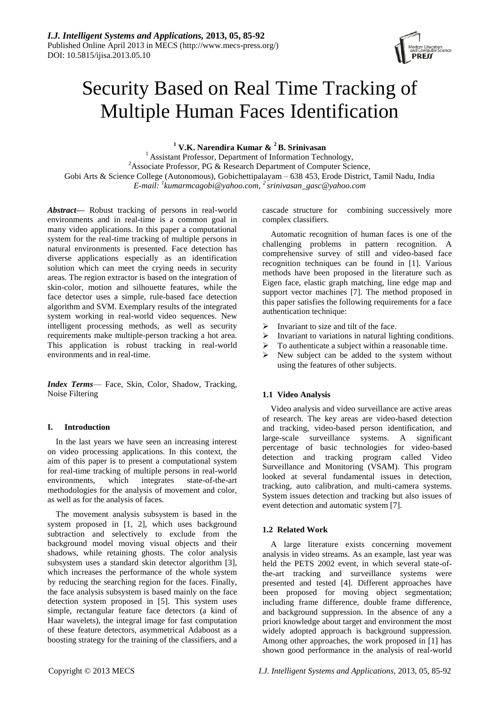

# Security Based on Real Time Tracking of Multiple Human Faces Identification

**<sup>1</sup> V.K. Narendira Kumar & <sup>2</sup>B. Srinivasan**

<sup>1</sup> Assistant Professor, Department of Information Technology, <sup>2</sup> Associate Professor, PG & Research Department of Computer Science, Gobi Arts & Science College (Autonomous), Gobichettipalayam – 638 453, Erode District, Tamil Nadu, India *E-mail: <sup>1</sup> kumarmcagobi@yahoo.com, <sup>2</sup>srinivasan\_gasc@yahoo.com*

*Abstract—* Robust tracking of persons in real-world environments and in real-time is a common goal in many video applications. In this paper a computational system for the real-time tracking of multiple persons in natural environments is presented. Face detection has diverse applications especially as an identification solution which can meet the crying needs in security areas. The region extractor is based on the integration of skin-color, motion and silhouette features, while the face detector uses a simple, rule-based face detection algorithm and SVM. Exemplary results of the integrated system working in real-world video sequences. New intelligent processing methods, as well as security requirements make multiple-person tracking a hot area. This application is robust tracking in real-world environments and in real-time.

*Index Terms*— Face, Skin, Color, Shadow, Tracking, Noise Filtering

# **I. Introduction**

In the last years we have seen an increasing interest on video processing applications. In this context, the aim of this paper is to present a computational system for real-time tracking of multiple persons in real-world environments, which integrates state-of-the-art methodologies for the analysis of movement and color, as well as for the analysis of faces.

The movement analysis subsystem is based in the system proposed in [1, 2], which uses background subtraction and selectively to exclude from the background model moving visual objects and their shadows, while retaining ghosts. The color analysis subsystem uses a standard skin detector algorithm [3], which increases the performance of the whole system by reducing the searching region for the faces. Finally, the face analysis subsystem is based mainly on the face detection system proposed in [5]. This system uses simple, rectangular feature face detectors (a kind of Haar wavelets), the integral image for fast computation of these feature detectors, asymmetrical Adaboost as a boosting strategy for the training of the classifiers, and a

cascade structure for combining successively more complex classifiers.

Automatic recognition of human faces is one of the challenging problems in pattern recognition. A comprehensive survey of still and video-based face recognition techniques can be found in [1]. Various methods have been proposed in the literature such as Eigen face, elastic graph matching, line edge map and support vector machines [7]. The method proposed in this paper satisfies the following requirements for a face authentication technique:

- $\triangleright$  Invariant to size and tilt of the face.
- $\triangleright$  Invariant to variations in natural lighting conditions.
- To authenticate a subject within a reasonable time.
- $\triangleright$  New subject can be added to the system without using the features of other subjects.

# **1.1 Video Analysis**

Video analysis and video surveillance are active areas of research. The key areas are video-based detection and tracking, video-based person identification, and large-scale surveillance systems. A significant percentage of basic technologies for video-based detection and tracking program called Video Surveillance and Monitoring (VSAM). This program looked at several fundamental issues in detection, tracking, auto calibration, and multi-camera systems. System issues detection and tracking but also issues of event detection and automatic system [7].

# **1.2 Related Work**

A large literature exists concerning movement analysis in video streams. As an example, last year was held the PETS 2002 event, in which several state-ofthe-art tracking and surveillance systems were presented and tested [4]. Different approaches have been proposed for moving object segmentation; including frame difference, double frame difference, and background suppression. In the absence of any a priori knowledge about target and environment the most widely adopted approach is background suppression. Among other approaches, the work proposed in [1] has shown good performance in the analysis of real-world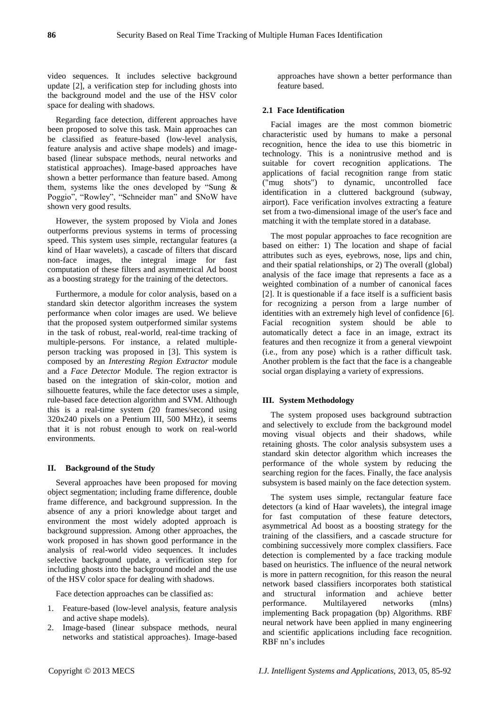video sequences. It includes selective background update [2], a verification step for including ghosts into the background model and the use of the HSV color space for dealing with shadows.

Regarding face detection, different approaches have been proposed to solve this task. Main approaches can be classified as feature-based (low-level analysis, feature analysis and active shape models) and imagebased (linear subspace methods, neural networks and statistical approaches). Image-based approaches have shown a better performance than feature based. Among them, systems like the ones developed by "Sung  $\&$ Poggio", "Rowley", "Schneider man" and SNoW have shown very good results.

However, the system proposed by Viola and Jones outperforms previous systems in terms of processing speed. This system uses simple, rectangular features (a kind of Haar wavelets), a cascade of filters that discard non-face images, the integral image for fast computation of these filters and asymmetrical Ad boost as a boosting strategy for the training of the detectors.

Furthermore, a module for color analysis, based on a standard skin detector algorithm increases the system performance when color images are used. We believe that the proposed system outperformed similar systems in the task of robust, real-world, real-time tracking of multiple-persons. For instance, a related multipleperson tracking was proposed in [3]. This system is composed by an *Interesting Region Extractor* module and a *Face Detector* Module. The region extractor is based on the integration of skin-color, motion and silhouette features, while the face detector uses a simple, rule-based face detection algorithm and SVM. Although this is a real-time system (20 frames/second using 320x240 pixels on a Pentium III, 500 MHz), it seems that it is not robust enough to work on real-world environments.

#### **II. Background of the Study**

Several approaches have been proposed for moving object segmentation; including frame difference, double frame difference, and background suppression. In the absence of any a priori knowledge about target and environment the most widely adopted approach is background suppression. Among other approaches, the work proposed in has shown good performance in the analysis of real-world video sequences. It includes selective background update, a verification step for including ghosts into the background model and the use of the HSV color space for dealing with shadows.

Face detection approaches can be classified as:

- 1. Feature-based (low-level analysis, feature analysis and active shape models).
- 2. Image-based (linear subspace methods, neural networks and statistical approaches). Image-based

approaches have shown a better performance than feature based.

## **2.1 Face Identification**

Facial images are the most common biometric characteristic used by humans to make a personal recognition, hence the idea to use this biometric in technology. This is a nonintrusive method and is suitable for covert recognition applications. The applications of facial recognition range from static ("mug shots") to dynamic, uncontrolled face identification in a cluttered background (subway, airport). Face verification involves extracting a feature set from a two-dimensional image of the user's face and matching it with the template stored in a database.

The most popular approaches to face recognition are based on either: 1) The location and shape of facial attributes such as eyes, eyebrows, nose, lips and chin, and their spatial relationships, or 2) The overall (global) analysis of the face image that represents a face as a weighted combination of a number of canonical faces [2]. It is questionable if a face itself is a sufficient basis for recognizing a person from a large number of identities with an extremely high level of confidence [6]. Facial recognition system should be able to automatically detect a face in an image, extract its features and then recognize it from a general viewpoint (i.e., from any pose) which is a rather difficult task. Another problem is the fact that the face is a changeable social organ displaying a variety of expressions.

## **III. System Methodology**

The system proposed uses background subtraction and selectively to exclude from the background model moving visual objects and their shadows, while retaining ghosts. The color analysis subsystem uses a standard skin detector algorithm which increases the performance of the whole system by reducing the searching region for the faces. Finally, the face analysis subsystem is based mainly on the face detection system.

The system uses simple, rectangular feature face detectors (a kind of Haar wavelets), the integral image for fast computation of these feature detectors, asymmetrical Ad boost as a boosting strategy for the training of the classifiers, and a cascade structure for combining successively more complex classifiers. Face detection is complemented by a face tracking module based on heuristics. The influence of the neural network is more in pattern recognition, for this reason the neural network based classifiers incorporates both statistical and structural information and achieve better<br>performance. Multilayered networks (mlns) performance. Multilayered networks (mlns) implementing Back propagation (bp) Algorithms. RBF neural network have been applied in many engineering and scientific applications including face recognition. RBF nn's includes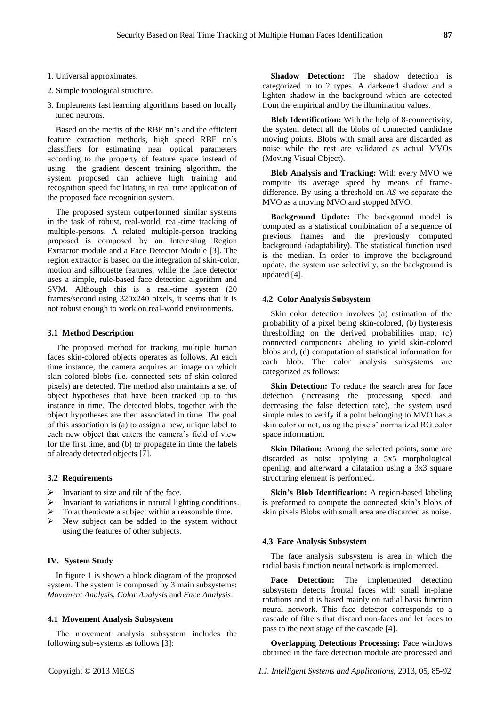- 1. Universal approximates.
- 2. Simple topological structure.
- 3. Implements fast learning algorithms based on locally tuned neurons.

Based on the merits of the RBF nn's and the efficient feature extraction methods, high speed RBF nn's classifiers for estimating near optical parameters according to the property of feature space instead of using the gradient descent training algorithm, the system proposed can achieve high training and recognition speed facilitating in real time application of the proposed face recognition system.

The proposed system outperformed similar systems in the task of robust, real-world, real-time tracking of multiple-persons. A related multiple-person tracking proposed is composed by an Interesting Region Extractor module and a Face Detector Module [3]. The region extractor is based on the integration of skin-color, motion and silhouette features, while the face detector uses a simple, rule-based face detection algorithm and SVM. Although this is a real-time system (20 frames/second using 320x240 pixels, it seems that it is not robust enough to work on real-world environments.

#### **3.1 Method Description**

The proposed method for tracking multiple human faces skin-colored objects operates as follows. At each time instance, the camera acquires an image on which skin-colored blobs (i.e. connected sets of skin-colored pixels) are detected. The method also maintains a set of object hypotheses that have been tracked up to this instance in time. The detected blobs, together with the object hypotheses are then associated in time. The goal of this association is (a) to assign a new, unique label to each new object that enters the camera's field of view for the first time, and (b) to propagate in time the labels of already detected objects [7].

## **3.2 Requirements**

- $\triangleright$  Invariant to size and tilt of the face.
- $\triangleright$  Invariant to variations in natural lighting conditions.
- $\triangleright$  To authenticate a subject within a reasonable time.<br> $\triangleright$  New subject can be added to the system without
- New subject can be added to the system without using the features of other subjects.

## **IV. System Study**

In figure 1 is shown a block diagram of the proposed system. The system is composed by 3 main subsystems: *Movement Analysis*, *Color Analysis* and *Face Analysis*.

# **4.1 Movement Analysis Subsystem**

The movement analysis subsystem includes the following sub-systems as follows [3]:

**Shadow Detection:** The shadow detection is categorized in to 2 types. A darkened shadow and a lighten shadow in the background which are detected from the empirical and by the illumination values.

**Blob Identification:** With the help of 8-connectivity, the system detect all the blobs of connected candidate moving points. Blobs with small area are discarded as noise while the rest are validated as actual MVOs (Moving Visual Object).

**Blob Analysis and Tracking:** With every MVO we compute its average speed by means of framedifference. By using a threshold on *AS* we separate the MVO as a moving MVO and stopped MVO.

**Background Update:** The background model is computed as a statistical combination of a sequence of previous frames and the previously computed background (adaptability). The statistical function used is the median. In order to improve the background update, the system use selectivity, so the background is updated [4].

#### **4.2 Color Analysis Subsystem**

Skin color detection involves (a) estimation of the probability of a pixel being skin-colored, (b) hysteresis thresholding on the derived probabilities map, (c) connected components labeling to yield skin-colored blobs and, (d) computation of statistical information for each blob. The color analysis subsystems are categorized as follows:

**Skin Detection:** To reduce the search area for face detection (increasing the processing speed and decreasing the false detection rate), the system used simple rules to verify if a point belonging to MVO has a skin color or not, using the pixels' normalized RG color space information.

**Skin Dilation:** Among the selected points, some are discarded as noise applying a 5x5 morphological opening, and afterward a dilatation using a 3x3 square structuring element is performed.

**Skin's Blob Identification:** A region-based labeling is preformed to compute the connected skin's blobs of skin pixels Blobs with small area are discarded as noise.

#### **4.3 Face Analysis Subsystem**

The face analysis subsystem is area in which the radial basis function neural network is implemented.

**Face Detection:** The implemented detection subsystem detects frontal faces with small in-plane rotations and it is based mainly on radial basis function neural network. This face detector corresponds to a cascade of filters that discard non-faces and let faces to pass to the next stage of the cascade [4].

**Overlapping Detections Processing:** Face windows obtained in the face detection module are processed and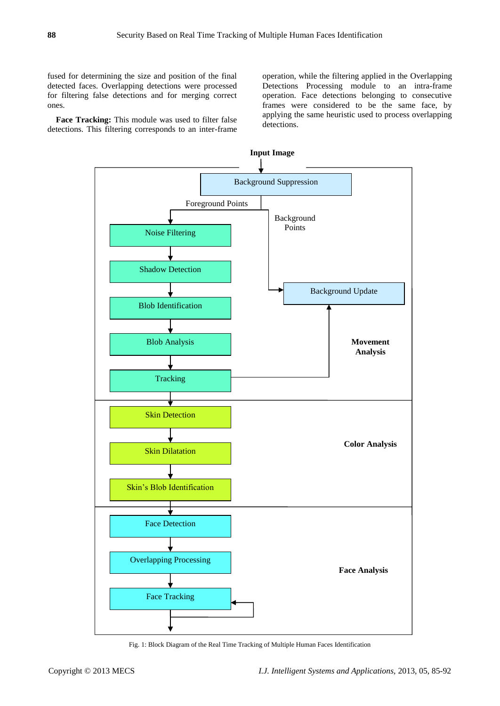fused for determining the size and position of the final detected faces. Overlapping detections were processed for filtering false detections and for merging correct ones.

**Face Tracking:** This module was used to filter false detections. This filtering corresponds to an inter-frame operation, while the filtering applied in the Overlapping Detections Processing module to an intra-frame operation. Face detections belonging to consecutive frames were considered to be the same face, by applying the same heuristic used to process overlapping detections.



Fig. 1: Block Diagram of the Real Time Tracking of Multiple Human Faces Identification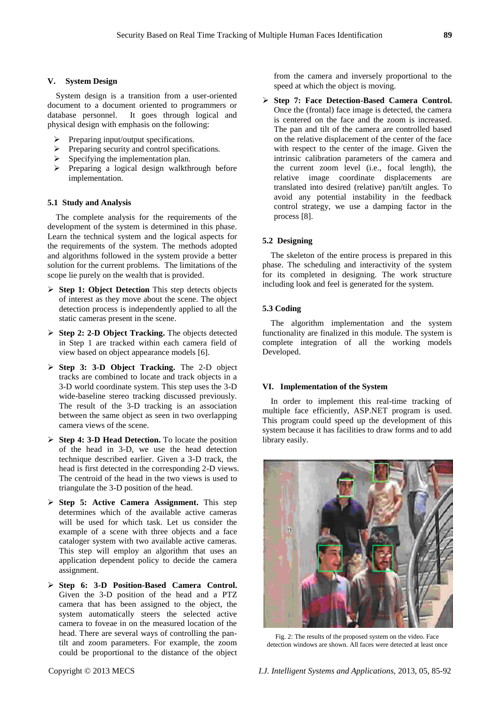## **V. System Design**

System design is a transition from a user-oriented document to a document oriented to programmers or database personnel. It goes through logical and physical design with emphasis on the following:

- Preparing input/output specifications.
- $\triangleright$  Preparing security and control specifications.
- $\triangleright$  Specifying the implementation plan.
- $\triangleright$  Preparing a logical design walkthrough before implementation.

## **5.1 Study and Analysis**

The complete analysis for the requirements of the development of the system is determined in this phase. Learn the technical system and the logical aspects for the requirements of the system. The methods adopted and algorithms followed in the system provide a better solution for the current problems. The limitations of the scope lie purely on the wealth that is provided.

- **Step 1: Object Detection** This step detects objects of interest as they move about the scene. The object detection process is independently applied to all the static cameras present in the scene.
- **Step 2: 2-D Object Tracking.** The objects detected in Step 1 are tracked within each camera field of view based on object appearance models [6].
- **Step 3: 3-D Object Tracking.** The 2-D object tracks are combined to locate and track objects in a 3-D world coordinate system. This step uses the 3-D wide-baseline stereo tracking discussed previously. The result of the 3-D tracking is an association between the same object as seen in two overlapping camera views of the scene.
- **Step 4: 3-D Head Detection.** To locate the position of the head in 3-D, we use the head detection technique described earlier. Given a 3-D track, the head is first detected in the corresponding 2-D views. The centroid of the head in the two views is used to triangulate the 3-D position of the head.
- **Step 5: Active Camera Assignment.** This step determines which of the available active cameras will be used for which task. Let us consider the example of a scene with three objects and a face cataloger system with two available active cameras. This step will employ an algorithm that uses an application dependent policy to decide the camera assignment.
- **Step 6: 3-D Position-Based Camera Control.** Given the 3-D position of the head and a PTZ camera that has been assigned to the object, the system automatically steers the selected active camera to foveae in on the measured location of the head. There are several ways of controlling the pantilt and zoom parameters. For example, the zoom could be proportional to the distance of the object

from the camera and inversely proportional to the speed at which the object is moving.

 **Step 7: Face Detection-Based Camera Control.** Once the (frontal) face image is detected, the camera is centered on the face and the zoom is increased. The pan and tilt of the camera are controlled based on the relative displacement of the center of the face with respect to the center of the image. Given the intrinsic calibration parameters of the camera and the current zoom level (i.e., focal length), the relative image coordinate displacements are translated into desired (relative) pan/tilt angles. To avoid any potential instability in the feedback control strategy, we use a damping factor in the process [8].

# **5.2 Designing**

The skeleton of the entire process is prepared in this phase. The scheduling and interactivity of the system for its completed in designing. The work structure including look and feel is generated for the system.

# **5.3 Coding**

The algorithm implementation and the system functionality are finalized in this module. The system is complete integration of all the working models Developed.

#### **VI. Implementation of the System**

In order to implement this real-time tracking of multiple face efficiently, ASP.NET program is used. This program could speed up the development of this system because it has facilities to draw forms and to add library easily.



Fig. 2: The results of the proposed system on the video. Face detection windows are shown. All faces were detected at least once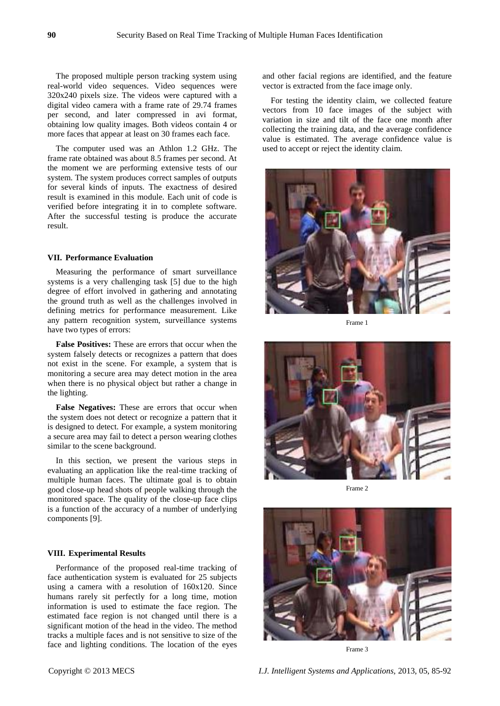The proposed multiple person tracking system using real-world video sequences. Video sequences were 320x240 pixels size. The videos were captured with a digital video camera with a frame rate of 29.74 frames per second, and later compressed in avi format, obtaining low quality images. Both videos contain 4 or more faces that appear at least on 30 frames each face.

The computer used was an Athlon 1.2 GHz. The frame rate obtained was about 8.5 frames per second. At the moment we are performing extensive tests of our system. The system produces correct samples of outputs for several kinds of inputs. The exactness of desired result is examined in this module. Each unit of code is verified before integrating it in to complete software. After the successful testing is produce the accurate result.

#### **VII. Performance Evaluation**

Measuring the performance of smart surveillance systems is a very challenging task [5] due to the high degree of effort involved in gathering and annotating the ground truth as well as the challenges involved in defining metrics for performance measurement. Like any pattern recognition system, surveillance systems have two types of errors:

**False Positives:** These are errors that occur when the system falsely detects or recognizes a pattern that does not exist in the scene. For example, a system that is monitoring a secure area may detect motion in the area when there is no physical object but rather a change in the lighting.

**False Negatives:** These are errors that occur when the system does not detect or recognize a pattern that it is designed to detect. For example, a system monitoring a secure area may fail to detect a person wearing clothes similar to the scene background.

In this section, we present the various steps in evaluating an application like the real-time tracking of multiple human faces. The ultimate goal is to obtain good close-up head shots of people walking through the monitored space. The quality of the close-up face clips is a function of the accuracy of a number of underlying components [9].

# **VIII. Experimental Results**

Performance of the proposed real-time tracking of face authentication system is evaluated for 25 subjects using a camera with a resolution of 160x120. Since humans rarely sit perfectly for a long time, motion information is used to estimate the face region. The estimated face region is not changed until there is a significant motion of the head in the video. The method tracks a multiple faces and is not sensitive to size of the face and lighting conditions. The location of the eyes

and other facial regions are identified, and the feature vector is extracted from the face image only.

For testing the identity claim, we collected feature vectors from 10 face images of the subject with variation in size and tilt of the face one month after collecting the training data, and the average confidence value is estimated. The average confidence value is used to accept or reject the identity claim.



Frame 1



Frame 2



Frame 3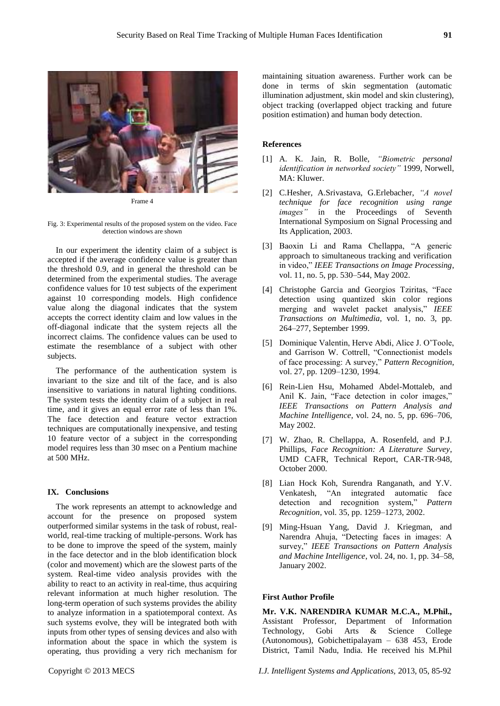

Frame 4

Fig. 3: Experimental results of the proposed system on the video. Face detection windows are shown

In our experiment the identity claim of a subject is accepted if the average confidence value is greater than the threshold 0.9, and in general the threshold can be determined from the experimental studies. The average confidence values for 10 test subjects of the experiment against 10 corresponding models. High confidence value along the diagonal indicates that the system accepts the correct identity claim and low values in the off-diagonal indicate that the system rejects all the incorrect claims. The confidence values can be used to estimate the resemblance of a subject with other subjects.

The performance of the authentication system is invariant to the size and tilt of the face, and is also insensitive to variations in natural lighting conditions. The system tests the identity claim of a subject in real time, and it gives an equal error rate of less than 1%. The face detection and feature vector extraction techniques are computationally inexpensive, and testing 10 feature vector of a subject in the corresponding model requires less than 30 msec on a Pentium machine at 500 MHz.

## **IX. Conclusions**

The work represents an attempt to acknowledge and account for the presence on proposed system outperformed similar systems in the task of robust, realworld, real-time tracking of multiple-persons. Work has to be done to improve the speed of the system, mainly in the face detector and in the blob identification block (color and movement) which are the slowest parts of the system. Real-time video analysis provides with the ability to react to an activity in real-time, thus acquiring relevant information at much higher resolution. The long-term operation of such systems provides the ability to analyze information in a spatiotemporal context. As such systems evolve, they will be integrated both with inputs from other types of sensing devices and also with information about the space in which the system is operating, thus providing a very rich mechanism for

maintaining situation awareness. Further work can be done in terms of skin segmentation (automatic illumination adjustment, skin model and skin clustering), object tracking (overlapped object tracking and future position estimation) and human body detection.

# **References**

- [1] A. K. Jain, R. Bolle, *"Biometric personal identification in networked society"* 1999, Norwell, MA: Kluwer.
- [2] C.Hesher, A.Srivastava, G.Erlebacher, *"A novel technique for face recognition using range images"* in the Proceedings of Seventh International Symposium on Signal Processing and Its Application, 2003.
- [3] Baoxin Li and Rama Chellappa, "A generic approach to simultaneous tracking and verification in video," *IEEE Transactions on Image Processing*, vol. 11, no. 5, pp. 530–544, May 2002.
- [4] Christophe Garcia and Georgios Tziritas, "Face detection using quantized skin color regions merging and wavelet packet analysis," IEEE *Transactions on Multimedia*, vol. 1, no. 3, pp. 264–277, September 1999.
- [5] Dominique Valentin, Herve Abdi, Alice J. O'Toole, and Garrison W. Cottrell, "Connectionist models of face processing: A survey," Pattern Recognition, vol. 27, pp. 1209–1230, 1994.
- [6] Rein-Lien Hsu, Mohamed Abdel-Mottaleb, and Anil K. Jain, "Face detection in color images," *IEEE Transactions on Pattern Analysis and Machine Intelligence*, vol. 24, no. 5, pp. 696–706, May 2002.
- [7] W. Zhao, R. Chellappa, A. Rosenfeld, and P.J. Phillips, *Face Recognition: A Literature Survey*, UMD CAFR, Technical Report, CAR-TR-948, October 2000.
- [8] Lian Hock Koh, Surendra Ranganath, and Y.V. Venkatesh, "An integrated automatic face detection and recognition system," Pattern *Recognition*, vol. 35, pp. 1259–1273, 2002.
- [9] Ming-Hsuan Yang, David J. Kriegman, and Narendra Ahuja, "Detecting faces in images: A survey," IEEE Transactions on Pattern Analysis *and Machine Intelligence*, vol. 24, no. 1, pp. 34–58, January 2002.

# **First Author Profile**

**Mr. V.K. NARENDIRA KUMAR M.C.A., M.Phil.,**  Assistant Professor, Department of Information Technology, Gobi Arts & Science College (Autonomous), Gobichettipalayam – 638 453, Erode District, Tamil Nadu, India. He received his M.Phil